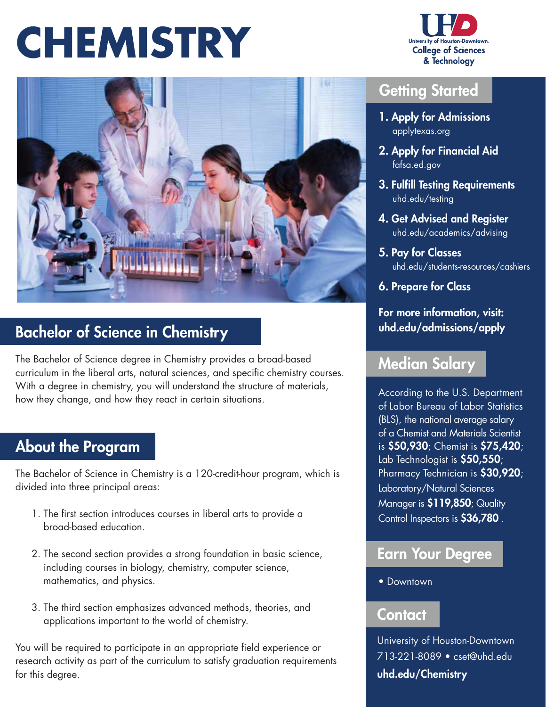## **CHEMISTRY**





### Bachelor of Science in Chemistry

The Bachelor of Science degree in Chemistry provides a broad-based curriculum in the liberal arts, natural sciences, and specific chemistry courses. With a degree in chemistry, you will understand the structure of materials, how they change, and how they react in certain situations.

### About the Program

The Bachelor of Science in Chemistry is a 120-credit-hour program, which is divided into three principal areas:

- 1. The frst section introduces courses in liberal arts to provide a broad-based education.
- 2. The second section provides a strong foundation in basic science, including courses in biology, chemistry, computer science, mathematics, and physics.
- 3. The third section emphasizes advanced methods, theories, and applications important to the world of chemistry.

You will be required to participate in an appropriate field experience or research activity as part of the curriculum to satisfy graduation requirements for this degree.

#### Getting Started

- 1. Apply for Admissions  [applytexas.org](https://applytexas.org)
- 2. Apply for Financial Aid  [fafsa.ed.gov](https://fafsa.ed.gov)
- 3. Fulfill Testing Requirements  [uhd.edu/testing](https://uhd.edu/testing)
- 4. Get Advised and Register  [uhd.edu/academics/advising](https://uhd.edu/academics/advising)
- 5. Pay for Classes [uhd.edu/students-resources/cashiers](https://uhd.edu/students-resources/cashiers)
- 6. Prepare for Class

#### For more information, visit: [uhd.edu/admissions/apply](https://uhd.edu/admissions/apply)

#### Median Salary

According to the U.S. Department of Labor Bureau of Labor Statistics (BLS), the national average salary of a Chemist and Materials Scientist is \$50,930; Chemist is \$75,420; Lab Technologist is \$50,550; Pharmacy Technician is \$30,920; Laboratory/Natural Sciences Manager is \$119,850; Quality Control Inspectors is \$36,780 .

#### Earn Your Degree

• Downtown

#### Contact

University of Houston-Downtown 713-221-8089 • [cset@uhd.edu](mailto:cset@uhd.edu) [uhd.edu/Chemistry](https://uhd.edu/Chemistry)